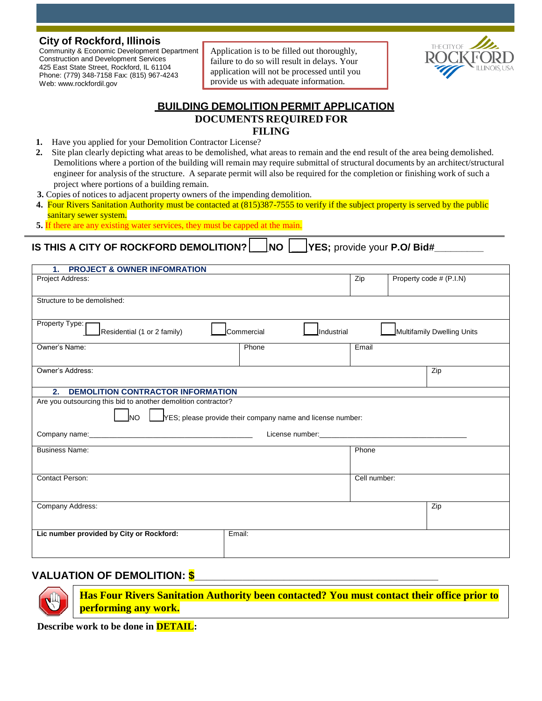#### **City of Rockford, Illinois**

Community & Economic Development Department Construction and Development Services 425 East State Street, Rockford, IL 61104 Phone: (779) 348-7158 Fax: (815) 967-4243 Web: [www.rockfordil.gov](http://www.rockfordil.gov/)

Application is to be filled out thoroughly, failure to do so will result in delays. Your application will not be processed until you provide us with adequate information.



# **BUILDING DEMOLITION PERMIT APPLICATION DOCUMENTS REQUIRED FOR FILING**

- **1.** Have you applied for your Demolition Contractor License?
- **2.** Site plan clearly depicting what areas to be demolished, what areas to remain and the end result of the area being demolished. Demolitions where a portion of the building will remain may require submittal of structural documents by an architect/structural engineer for analysis of the structure. A separate permit will also be required for the completion or finishing work of such a project where portions of a building remain.
- **3.** Copies of notices to adjacent property owners of the impending demolition.
- **4.** Four Rivers Sanitation Authority must be contacted at (815)387-7555 to verify if the subject property is served by the public sanitary sewer system.
- **5.** If there are any existing water services, they must be capped at the main.

**IS THIS A CITY OF ROCKFORD DEMOLITION? | NO | YES; provide your P.O/ Bid#** 

| <b>PROJECT &amp; OWNER INFOMRATION</b><br>1.                                                                                              |              |                                                                                                                                                                                                                                |  |  |  |  |
|-------------------------------------------------------------------------------------------------------------------------------------------|--------------|--------------------------------------------------------------------------------------------------------------------------------------------------------------------------------------------------------------------------------|--|--|--|--|
| Project Address:                                                                                                                          | Zip          | Property code # (P.I.N)                                                                                                                                                                                                        |  |  |  |  |
| Structure to be demolished:                                                                                                               |              |                                                                                                                                                                                                                                |  |  |  |  |
| Property Type:<br>Residential (1 or 2 family)<br>Multifamily Dwelling Units<br>Commercial<br>Industrial                                   |              |                                                                                                                                                                                                                                |  |  |  |  |
| Owner's Name:<br>Phone                                                                                                                    | Email        |                                                                                                                                                                                                                                |  |  |  |  |
| Owner's Address:                                                                                                                          |              | Zip                                                                                                                                                                                                                            |  |  |  |  |
| DEMOLITION CONTRACTOR INFORMATION<br>2.                                                                                                   |              |                                                                                                                                                                                                                                |  |  |  |  |
| Are you outsourcing this bid to another demolition contractor?<br>YES; please provide their company name and license number:<br><b>NO</b> |              |                                                                                                                                                                                                                                |  |  |  |  |
|                                                                                                                                           |              | License number: Web and the contract of the contract of the contract of the contract of the contract of the contract of the contract of the contract of the contract of the contract of the contract of the contract of the co |  |  |  |  |
| <b>Business Name:</b>                                                                                                                     | Phone        |                                                                                                                                                                                                                                |  |  |  |  |
| Contact Person:                                                                                                                           | Cell number: |                                                                                                                                                                                                                                |  |  |  |  |
| Company Address:                                                                                                                          |              | Zip                                                                                                                                                                                                                            |  |  |  |  |
| Lic number provided by City or Rockford:<br>Email:                                                                                        |              |                                                                                                                                                                                                                                |  |  |  |  |

## **VALUATION OF DEMOLITION: \$\_\_\_\_\_\_\_\_\_\_\_\_\_\_\_\_\_\_\_\_\_\_\_\_\_\_\_\_\_\_\_\_\_\_\_\_\_\_\_\_\_**



**Has Four Rivers Sanitation Authority been contacted? You must contact their office prior to performing any work.**

**Describe work to be done in DETAIL:**